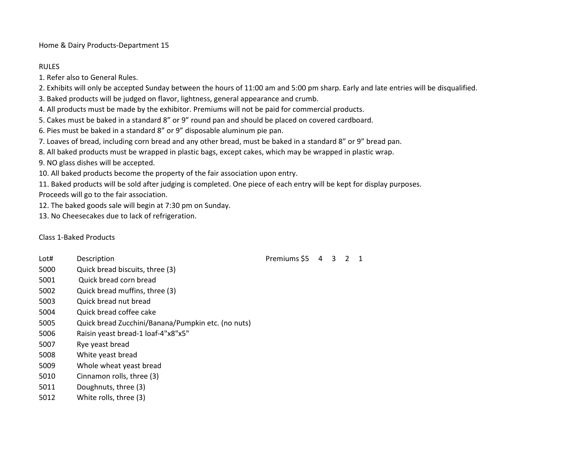Home & Dairy Products-Department 15

## RULES

1. Refer also to General Rules.

2. Exhibits will only be accepted Sunday between the hours of 11:00 am and 5:00 pm sharp. Early and late entries will be disqualified.

3. Baked products will be judged on flavor, lightness, general appearance and crumb.

4. All products must be made by the exhibitor. Premiums will not be paid for commercial products.

5. Cakes must be baked in a standard 8" or 9" round pan and should be placed on covered cardboard.

6. Pies must be baked in a standard 8" or 9" disposable aluminum pie pan.

7. Loaves of bread, including corn bread and any other bread, must be baked in a standard 8" or 9" bread pan.

8. All baked products must be wrapped in plastic bags, except cakes, which may be wrapped in plastic wrap.

9. NO glass dishes will be accepted.

10. All baked products become the property of the fair association upon entry.

11. Baked products will be sold after judging is completed. One piece of each entry will be kept for display purposes.

Proceeds will go to the fair association.

12. The baked goods sale will begin at 7:30 pm on Sunday.

13. No Cheesecakes due to lack of refrigeration.

Class 1-Baked Products

Lot# Description **Premiums \$5 4 3 2 1**  Quick bread biscuits, three (3) 5001 Quick bread corn bread Quick bread muffins, three (3) Quick bread nut bread Quick bread coffee cake Quick bread Zucchini/Banana/Pumpkin etc. (no nuts) Raisin yeast bread-1 loaf-4"x8"x5" Rye yeast bread White yeast bread Whole wheat yeast bread Cinnamon rolls, three (3) Doughnuts, three (3) White rolls, three (3)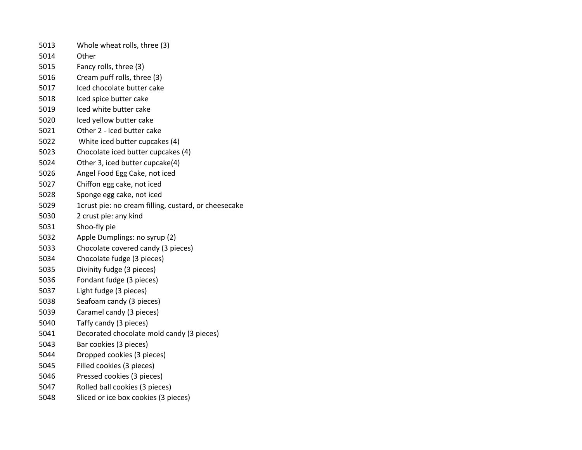| 5013 | Whole wheat rolls, three (3)                         |
|------|------------------------------------------------------|
| 5014 | Other                                                |
| 5015 | Fancy rolls, three (3)                               |
| 5016 | Cream puff rolls, three (3)                          |
| 5017 | Iced chocolate butter cake                           |
| 5018 | Iced spice butter cake                               |
| 5019 | Iced white butter cake                               |
| 5020 | Iced yellow butter cake                              |
| 5021 | Other 2 - Iced butter cake                           |
| 5022 | White iced butter cupcakes (4)                       |
| 5023 | Chocolate iced butter cupcakes (4)                   |
| 5024 | Other 3, iced butter cupcake(4)                      |
| 5026 | Angel Food Egg Cake, not iced                        |
| 5027 | Chiffon egg cake, not iced                           |
| 5028 | Sponge egg cake, not iced                            |
| 5029 | 1crust pie: no cream filling, custard, or cheesecake |
| 5030 | 2 crust pie: any kind                                |
| 5031 | Shoo-fly pie                                         |
| 5032 | Apple Dumplings: no syrup (2)                        |
| 5033 | Chocolate covered candy (3 pieces)                   |
| 5034 | Chocolate fudge (3 pieces)                           |
| 5035 | Divinity fudge (3 pieces)                            |
| 5036 | Fondant fudge (3 pieces)                             |
| 5037 | Light fudge (3 pieces)                               |
| 5038 | Seafoam candy (3 pieces)                             |
| 5039 | Caramel candy (3 pieces)                             |
| 5040 | Taffy candy (3 pieces)                               |
| 5041 | Decorated chocolate mold candy (3 pieces)            |
| 5043 | Bar cookies (3 pieces)                               |
| 5044 | Dropped cookies (3 pieces)                           |
| 5045 | Filled cookies (3 pieces)                            |
| 5046 | Pressed cookies (3 pieces)                           |
| 5047 | Rolled ball cookies (3 pieces)                       |
| 5048 | Sliced or ice box cookies (3 pieces)                 |